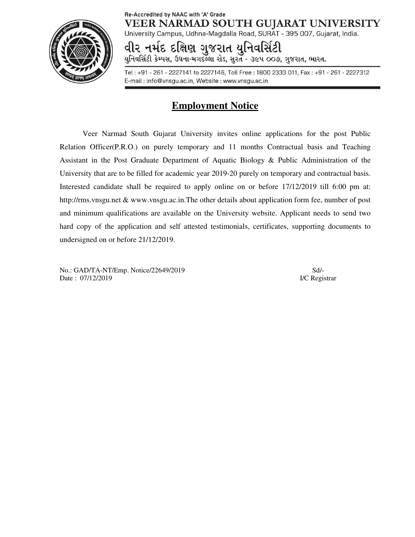

## Re-Accredited by NAAC with 'A' Grade **VEER NARMAD SOUTH GUJARAT UNIVERSITY**

University Campus, Udhna-Magdalla Road, SURAT - 395 007, Gujarat, India.

વીર નમંદ દક્ષિણ ગજરાત યનિવર્સિટી

યુનિવર્સિટી કેમ્પસ, ઉઘના-મગદલ્લા રોડ, સુરત - ૩૯૫ ૦૦૭, ગુજરાત, ભારત.

Tel: +91 - 261 - 2227141 to 2227146, Toll Free: 1800 2333 011, Fax: +91 - 261 - 2227312 E-mail: info@vnsgu.ac.in, Website: www.vnsgu.ac.in

# **Employment Notice**

Veer Narmad South Gujarat University invites online applications for the post Public Relation Officer(P.R.O.) on purely temporary and 11 months Contractual basis and Teaching Assistant in the Post Graduate Department of Aquatic Biology & Public Administration of the University that are to be filled for academic year 2019-20 purely on temporary and contractual basis. Interested candidate shall be required to apply online on or before 17/12/2019 till 6:00 pm at: http://rms.vnsgu.net & www.vnsgu.ac.in.The other details about application form fee, number of post and minimum qualifications are available on the University website. Applicant needs to send two hard copy of the application and self attested testimonials, certificates, supporting documents to undersigned on or before 21/12/2019.

No.: GAD/TA-NT/Emp. Notice/22649/2019 Sd/- Date : 07/12/2019 **I/C Registrar**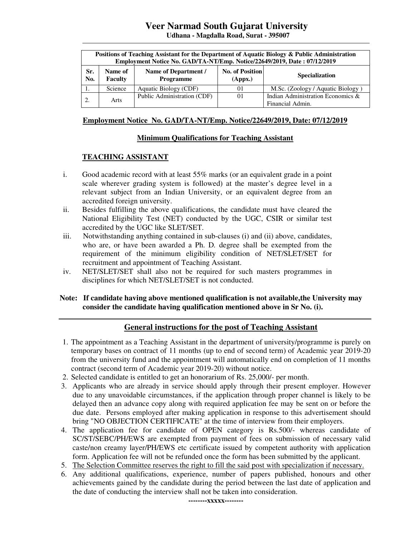# **Veer Narmad South Gujarat University**

**Udhana - Magdalla Road, Surat - 395007** 

| Positions of Teaching Assistant for the Department of Aquatic Biology & Public Administration<br>Employment Notice No. GAD/TA-NT/Emp. Notice/22649/2019, Date: 07/12/2019 |                    |                                          |                                   |                                                       |  |  |  |
|---------------------------------------------------------------------------------------------------------------------------------------------------------------------------|--------------------|------------------------------------------|-----------------------------------|-------------------------------------------------------|--|--|--|
| Sr.<br>No.                                                                                                                                                                | Name of<br>Faculty | Name of Department /<br><b>Programme</b> | <b>No. of Position</b><br>(Appx.) | <b>Specialization</b>                                 |  |  |  |
| . .                                                                                                                                                                       | Science            | Aquatic Biology (CDF)                    | 01                                | M.Sc. (Zoology / Aquatic Biology)                     |  |  |  |
|                                                                                                                                                                           | Arts               | Public Administration (CDF)              | 01                                | Indian Administration Economics &<br>Financial Admin. |  |  |  |

#### **Employment Notice No. GAD/TA-NT/Emp. Notice/22649/2019, Date: 07/12/2019**

#### **Minimum Qualifications for Teaching Assistant**

#### **TEACHING ASSISTANT**

- i. Good academic record with at least 55% marks (or an equivalent grade in a point scale wherever grading system is followed) at the master's degree level in a relevant subject from an Indian University, or an equivalent degree from an accredited foreign university.
- ii. Besides fulfilling the above qualifications, the candidate must have cleared the National Eligibility Test (NET) conducted by the UGC, CSIR or similar test accredited by the UGC like SLET/SET.
- iii. Notwithstanding anything contained in sub-clauses (i) and (ii) above, candidates, who are, or have been awarded a Ph. D*.* degree shall be exempted from the requirement of the minimum eligibility condition of NET/SLET/SET for recruitment and appointment of Teaching Assistant.
- iv. NET/SLET/SET shall also not be required for such masters programmes in disciplines for which NET/SLET/SET is not conducted.

#### **Note: If candidate having above mentioned qualification is not available,the University may consider the candidate having qualification mentioned above in Sr No. (i).**

#### **General instructions for the post of Teaching Assistant**

- 1. The appointment as a Teaching Assistant in the department of university/programme is purely on temporary bases on contract of 11 months (up to end of second term) of Academic year 2019-20 from the university fund and the appointment will automatically end on completion of 11 months contract (second term of Academic year 2019-20) without notice.
- 2. Selected candidate is entitled to get an honorarium of Rs. 25,000/- per month.
- 3. Applicants who are already in service should apply through their present employer. However due to any unavoidable circumstances, if the application through proper channel is likely to be delayed then an advance copy along with required application fee may be sent on or before the due date. Persons employed after making application in response to this advertisement should bring "NO OBJECTION CERTIFICATE" at the time of interview from their employers.
- 4. The application fee for candidate of OPEN category is Rs.500/- whereas candidate of SC/ST/SEBC/PH/EWS are exempted from payment of fees on submission of necessary valid caste/non creamy layer/PH/EWS etc certificate issued by competent authority with application form. Application fee will not be refunded once the form has been submitted by the applicant.
- 5. The Selection Committee reserves the right to fill the said post with specialization if necessary.
- 6. Any additional qualifications, experience, number of papers published, honours and other achievements gained by the candidate during the period between the last date of application and the date of conducting the interview shall not be taken into consideration.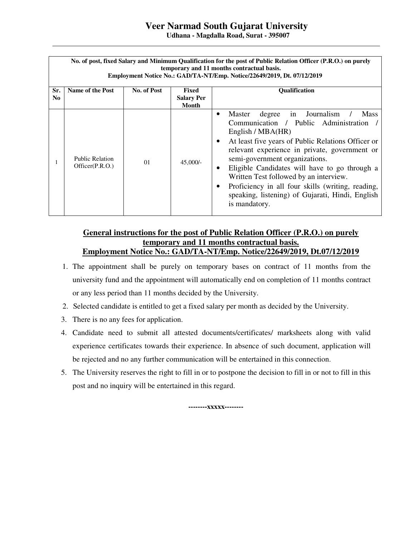# **Veer Narmad South Gujarat University**

**Udhana - Magdalla Road, Surat - 395007** 

| No. of post, fixed Salary and Minimum Qualification for the post of Public Relation Officer (P.R.O.) on purely<br>temporary and 11 months contractual basis.<br>Employment Notice No.: GAD/TA-NT/Emp. Notice/22649/2019, Dt. 07/12/2019 |                                           |             |                                            |                                                                                                                                                                                                                                                                                                                                                                                                                                                                                                                            |  |  |  |
|-----------------------------------------------------------------------------------------------------------------------------------------------------------------------------------------------------------------------------------------|-------------------------------------------|-------------|--------------------------------------------|----------------------------------------------------------------------------------------------------------------------------------------------------------------------------------------------------------------------------------------------------------------------------------------------------------------------------------------------------------------------------------------------------------------------------------------------------------------------------------------------------------------------------|--|--|--|
| Sr.<br>N <sub>0</sub>                                                                                                                                                                                                                   | Name of the Post                          | No. of Post | Fixed<br><b>Salary Per</b><br><b>Month</b> | <b>Oualification</b>                                                                                                                                                                                                                                                                                                                                                                                                                                                                                                       |  |  |  |
|                                                                                                                                                                                                                                         | <b>Public Relation</b><br>Officer(P.R.O.) | 01          | $45,000/-$                                 | Journalism<br>degree<br><b>Mass</b><br>Master<br>in<br>Communication / Public Administration /<br>English / $MBA(HR)$<br>At least five years of Public Relations Officer or<br>$\bullet$<br>relevant experience in private, government or<br>semi-government organizations.<br>Eligible Candidates will have to go through a<br>$\bullet$<br>Written Test followed by an interview.<br>Proficiency in all four skills (writing, reading,<br>$\bullet$<br>speaking, listening) of Gujarati, Hindi, English<br>is mandatory. |  |  |  |

## **General instructions for the post of Public Relation Officer (P.R.O.) on purely temporary and 11 months contractual basis. Employment Notice No.: GAD/TA-NT/Emp. Notice/22649/2019, Dt.07/12/2019**

- 1. The appointment shall be purely on temporary bases on contract of 11 months from the university fund and the appointment will automatically end on completion of 11 months contract or any less period than 11 months decided by the University.
- 2. Selected candidate is entitled to get a fixed salary per month as decided by the University.
- 3. There is no any fees for application.
- 4. Candidate need to submit all attested documents/certificates/ marksheets along with valid experience certificates towards their experience. In absence of such document, application will be rejected and no any further communication will be entertained in this connection.
- 5. The University reserves the right to fill in or to postpone the decision to fill in or not to fill in this post and no inquiry will be entertained in this regard.

**--------xxxxx--------**